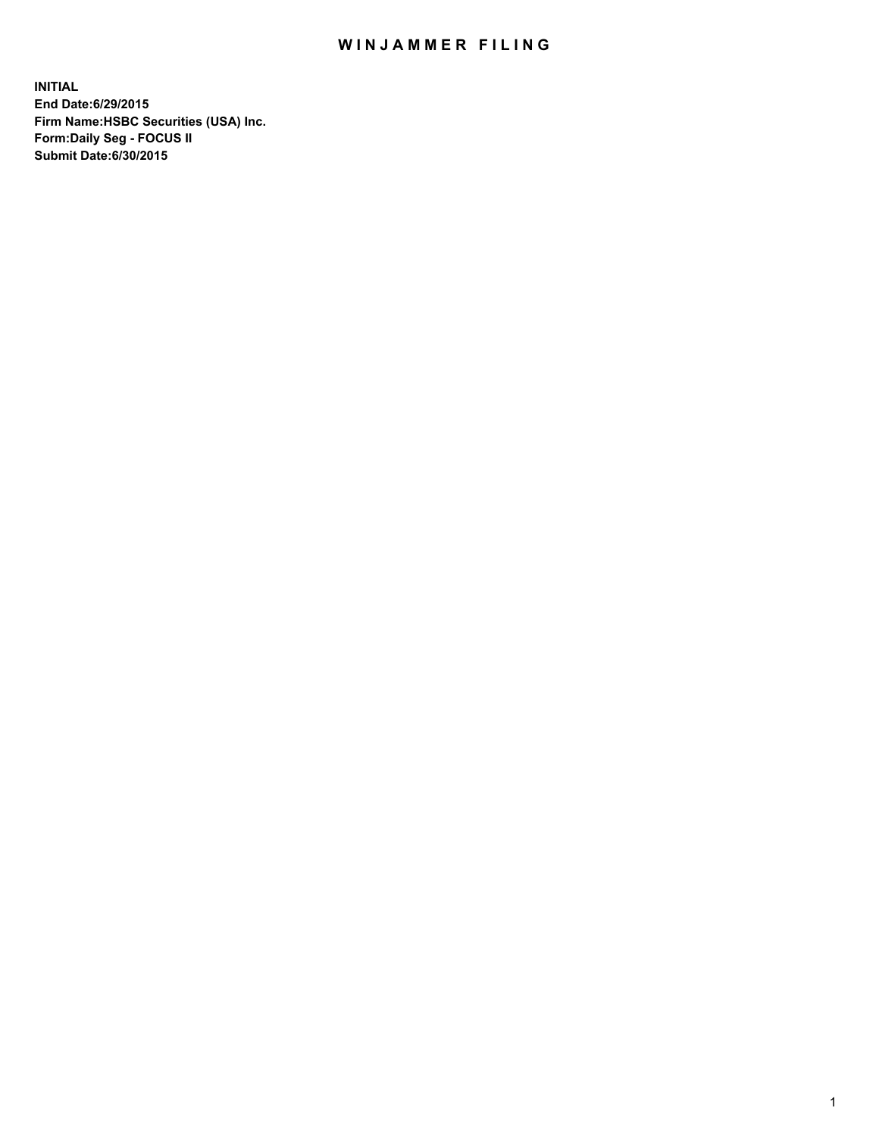## WIN JAMMER FILING

**INITIAL End Date:6/29/2015 Firm Name:HSBC Securities (USA) Inc. Form:Daily Seg - FOCUS II Submit Date:6/30/2015**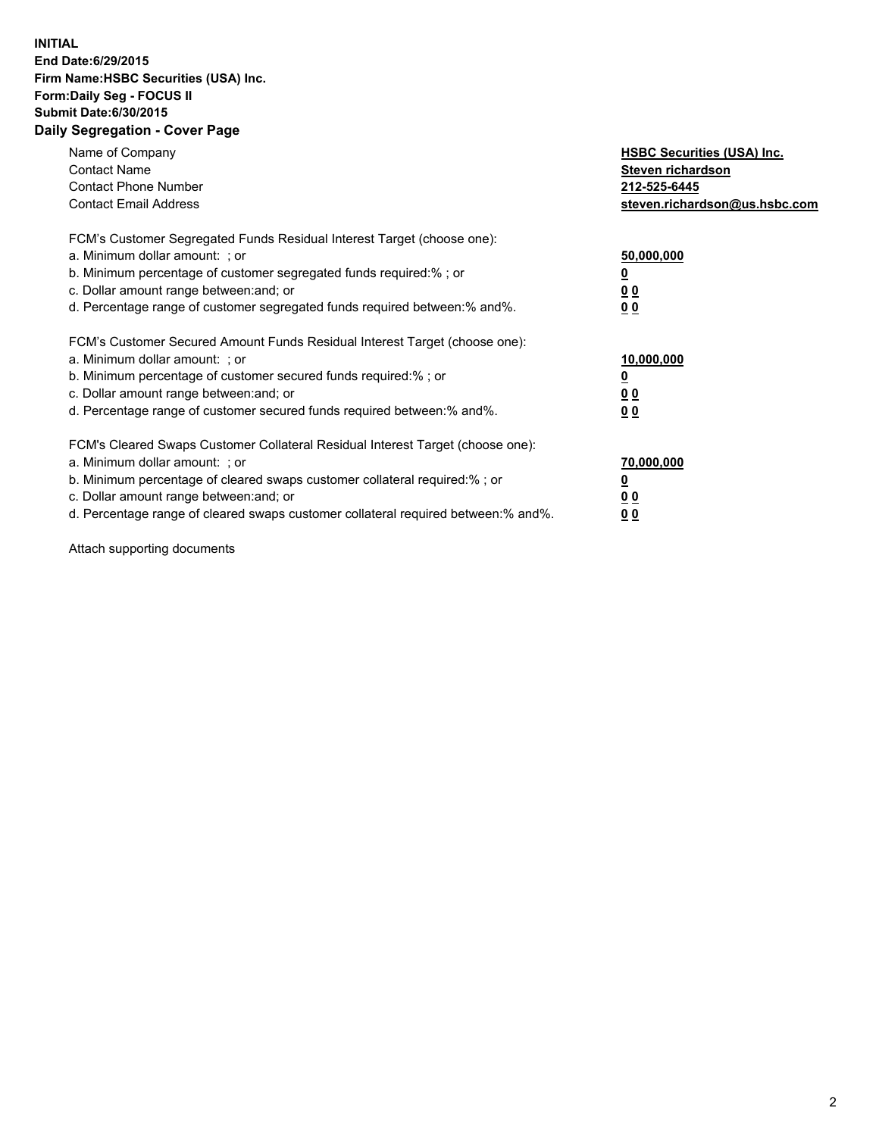## **INITIAL End Date:6/29/2015 Firm Name:HSBC Securities (USA) Inc. Form:Daily Seg - FOCUS II Submit Date:6/30/2015 Daily Segregation - Cover Page**

| Name of Company<br><b>Contact Name</b><br><b>Contact Phone Number</b><br><b>Contact Email Address</b>                                                                                                                                                                                                                          | <b>HSBC Securities (USA) Inc.</b><br>Steven richardson<br>212-525-6445<br>steven.richardson@us.hsbc.com |
|--------------------------------------------------------------------------------------------------------------------------------------------------------------------------------------------------------------------------------------------------------------------------------------------------------------------------------|---------------------------------------------------------------------------------------------------------|
| FCM's Customer Segregated Funds Residual Interest Target (choose one):<br>a. Minimum dollar amount: ; or<br>b. Minimum percentage of customer segregated funds required:%; or<br>c. Dollar amount range between: and; or<br>d. Percentage range of customer segregated funds required between: % and %.                        | 50,000,000<br>0 <sub>0</sub><br>0 <sub>0</sub>                                                          |
| FCM's Customer Secured Amount Funds Residual Interest Target (choose one):<br>a. Minimum dollar amount: ; or<br>b. Minimum percentage of customer secured funds required:%; or<br>c. Dollar amount range between: and; or<br>d. Percentage range of customer secured funds required between:% and%.                            | 10,000,000<br><u>0</u><br>0 <sub>0</sub><br>0 <sub>0</sub>                                              |
| FCM's Cleared Swaps Customer Collateral Residual Interest Target (choose one):<br>a. Minimum dollar amount: ; or<br>b. Minimum percentage of cleared swaps customer collateral required:% ; or<br>c. Dollar amount range between: and; or<br>d. Percentage range of cleared swaps customer collateral required between:% and%. | 70,000,000<br>00<br><u>00</u>                                                                           |

Attach supporting documents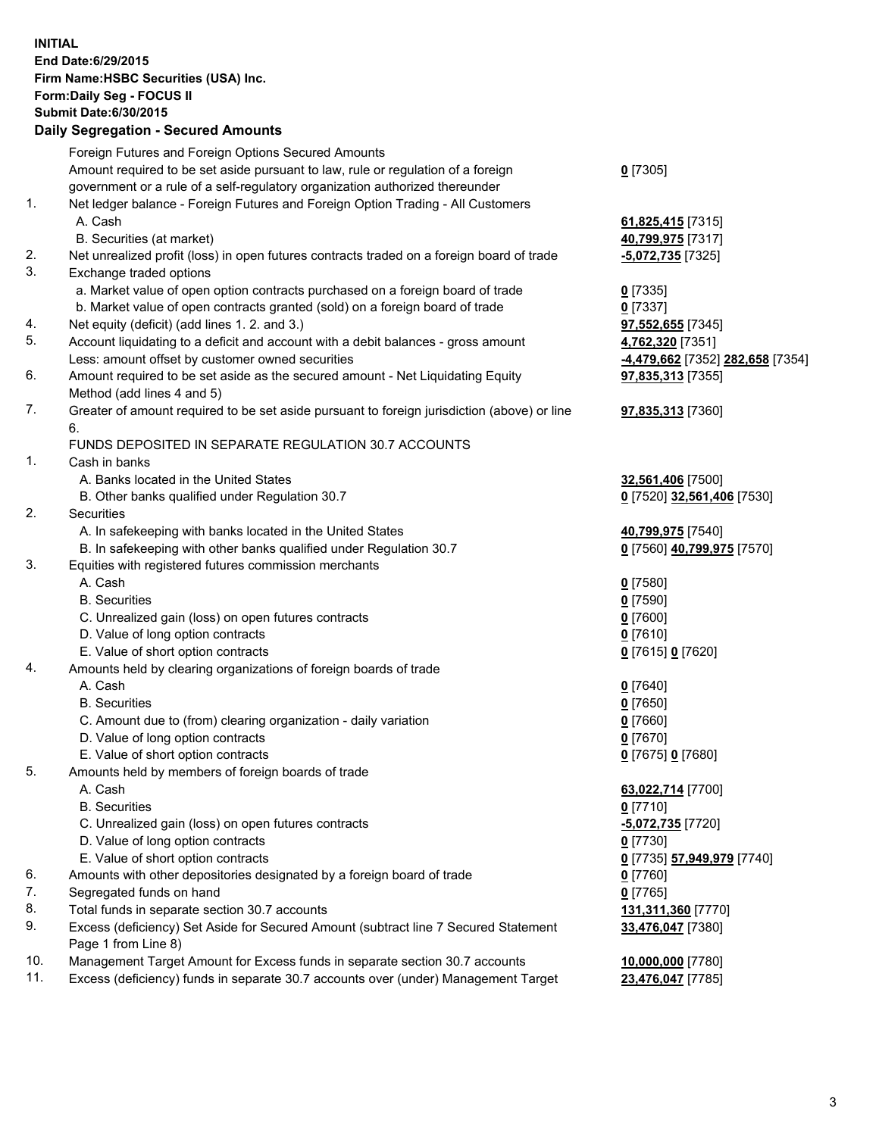**INITIAL End Date:6/29/2015 Firm Name:HSBC Securities (USA) Inc. Form:Daily Seg - FOCUS II Submit Date:6/30/2015 Daily Segregation - Secured Amounts** Foreign Futures and Foreign Options Secured Amounts Amount required to be set aside pursuant to law, rule or regulation of a foreign government or a rule of a self-regulatory organization authorized thereunder **0** [7305] 1. Net ledger balance - Foreign Futures and Foreign Option Trading - All Customers A. Cash **61,825,415** [7315] B. Securities (at market) **40,799,975** [7317] 2. Net unrealized profit (loss) in open futures contracts traded on a foreign board of trade **-5,072,735** [7325] 3. Exchange traded options a. Market value of open option contracts purchased on a foreign board of trade **0** [7335] b. Market value of open contracts granted (sold) on a foreign board of trade **0** [7337] 4. Net equity (deficit) (add lines 1. 2. and 3.) **97,552,655** [7345] 5. Account liquidating to a deficit and account with a debit balances - gross amount **4,762,320** [7351] Less: amount offset by customer owned securities **-4,479,662** [7352] **282,658** [7354] 6. Amount required to be set aside as the secured amount - Net Liquidating Equity Method (add lines 4 and 5) **97,835,313** [7355] 7. Greater of amount required to be set aside pursuant to foreign jurisdiction (above) or line 6. **97,835,313** [7360] FUNDS DEPOSITED IN SEPARATE REGULATION 30.7 ACCOUNTS 1. Cash in banks A. Banks located in the United States **32,561,406** [7500] B. Other banks qualified under Regulation 30.7 **0** [7520] **32,561,406** [7530] 2. Securities A. In safekeeping with banks located in the United States **40,799,975** [7540] B. In safekeeping with other banks qualified under Regulation 30.7 **0** [7560] **40,799,975** [7570] 3. Equities with registered futures commission merchants A. Cash **0** [7580] B. Securities **0** [7590] C. Unrealized gain (loss) on open futures contracts **0** [7600] D. Value of long option contracts **0** [7610] E. Value of short option contracts **0** [7615] **0** [7620] 4. Amounts held by clearing organizations of foreign boards of trade A. Cash **0** [7640] B. Securities **0** [7650] C. Amount due to (from) clearing organization - daily variation **0** [7660] D. Value of long option contracts **0** [7670] E. Value of short option contracts **0** [7675] **0** [7680] 5. Amounts held by members of foreign boards of trade A. Cash **63,022,714** [7700] B. Securities **0** [7710] C. Unrealized gain (loss) on open futures contracts **-5,072,735** [7720] D. Value of long option contracts **0** [7730]

- E. Value of short option contracts **0** [7735] **57,949,979** [7740]
- 6. Amounts with other depositories designated by a foreign board of trade **0** [7760]
- 7. Segregated funds on hand **0** [7765]
- 8. Total funds in separate section 30.7 accounts **131,311,360** [7770]
- 9. Excess (deficiency) Set Aside for Secured Amount (subtract line 7 Secured Statement Page 1 from Line 8)
- 10. Management Target Amount for Excess funds in separate section 30.7 accounts **10,000,000** [7780]
- 11. Excess (deficiency) funds in separate 30.7 accounts over (under) Management Target **23,476,047** [7785]

**33,476,047** [7380]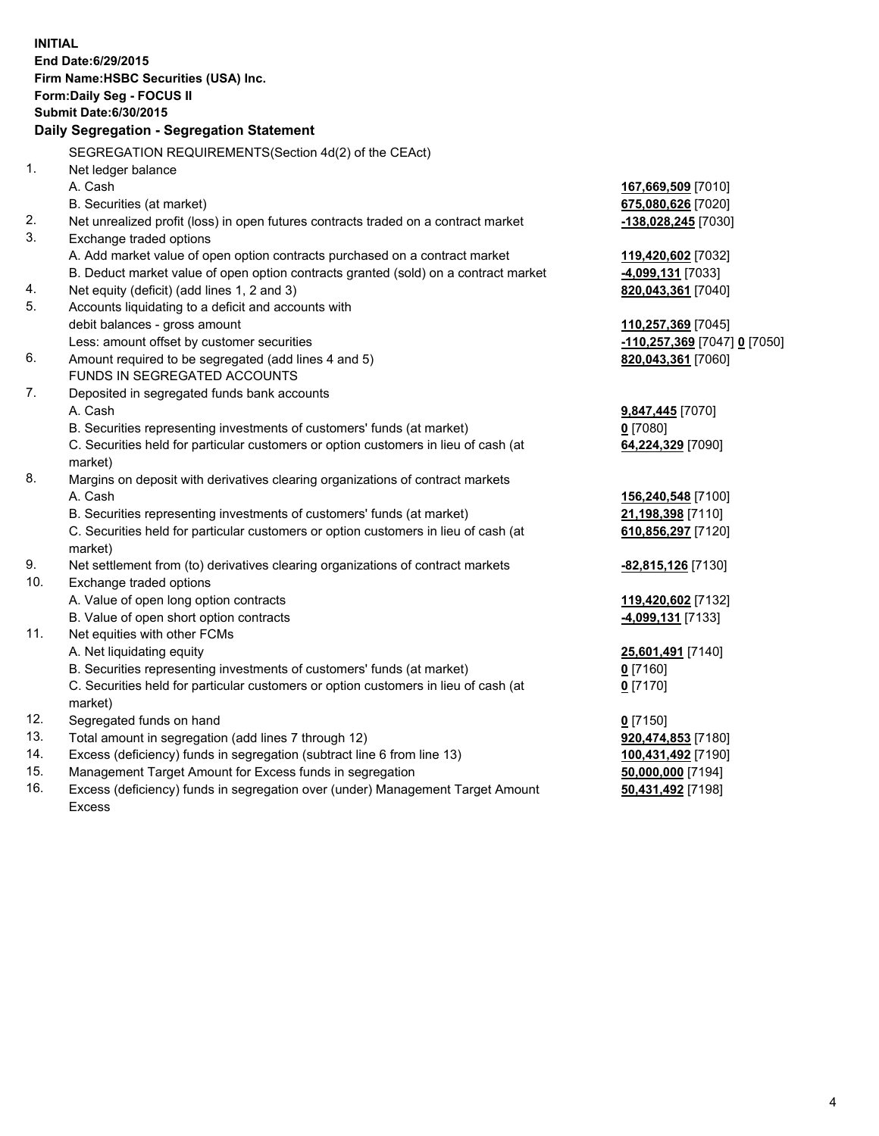| <b>INITIAL</b>                            | End Date: 6/29/2015<br>Firm Name: HSBC Securities (USA) Inc.<br>Form: Daily Seg - FOCUS II<br><b>Submit Date:6/30/2015</b> |                                |  |  |
|-------------------------------------------|----------------------------------------------------------------------------------------------------------------------------|--------------------------------|--|--|
| Daily Segregation - Segregation Statement |                                                                                                                            |                                |  |  |
|                                           | SEGREGATION REQUIREMENTS(Section 4d(2) of the CEAct)                                                                       |                                |  |  |
| 1.                                        | Net ledger balance                                                                                                         |                                |  |  |
|                                           | A. Cash                                                                                                                    | 167,669,509 [7010]             |  |  |
|                                           | B. Securities (at market)                                                                                                  | 675,080,626 [7020]             |  |  |
| 2.                                        | Net unrealized profit (loss) in open futures contracts traded on a contract market                                         | -138,028,245 [7030]            |  |  |
| 3.                                        | Exchange traded options                                                                                                    |                                |  |  |
|                                           | A. Add market value of open option contracts purchased on a contract market                                                | 119,420,602 [7032]             |  |  |
|                                           | B. Deduct market value of open option contracts granted (sold) on a contract market                                        | -4,099,131 [7033]              |  |  |
| 4.                                        | Net equity (deficit) (add lines 1, 2 and 3)                                                                                | 820,043,361 [7040]             |  |  |
| 5.                                        | Accounts liquidating to a deficit and accounts with                                                                        |                                |  |  |
|                                           | debit balances - gross amount                                                                                              | 110,257,369 [7045]             |  |  |
|                                           | Less: amount offset by customer securities                                                                                 | -110,257,369 [7047] 0 [7050]   |  |  |
| 6.                                        | Amount required to be segregated (add lines 4 and 5)                                                                       | 820,043,361 [7060]             |  |  |
| 7.                                        | FUNDS IN SEGREGATED ACCOUNTS                                                                                               |                                |  |  |
|                                           | Deposited in segregated funds bank accounts<br>A. Cash                                                                     |                                |  |  |
|                                           | B. Securities representing investments of customers' funds (at market)                                                     | 9,847,445 [7070]<br>$0$ [7080] |  |  |
|                                           | C. Securities held for particular customers or option customers in lieu of cash (at                                        | 64,224,329 [7090]              |  |  |
|                                           | market)                                                                                                                    |                                |  |  |
| 8.                                        | Margins on deposit with derivatives clearing organizations of contract markets                                             |                                |  |  |
|                                           | A. Cash                                                                                                                    | 156,240,548 [7100]             |  |  |
|                                           | B. Securities representing investments of customers' funds (at market)                                                     | 21,198,398 [7110]              |  |  |
|                                           | C. Securities held for particular customers or option customers in lieu of cash (at                                        | 610,856,297 [7120]             |  |  |
|                                           | market)                                                                                                                    |                                |  |  |
| 9.                                        | Net settlement from (to) derivatives clearing organizations of contract markets                                            | -82,815,126 [7130]             |  |  |
| 10.                                       | Exchange traded options                                                                                                    |                                |  |  |
|                                           | A. Value of open long option contracts                                                                                     | 119,420,602 [7132]             |  |  |
|                                           | B. Value of open short option contracts                                                                                    | -4,099,131 [7133]              |  |  |
| 11.                                       | Net equities with other FCMs                                                                                               |                                |  |  |
|                                           | A. Net liquidating equity                                                                                                  | 25,601,491 [7140]              |  |  |
|                                           | B. Securities representing investments of customers' funds (at market)                                                     | 0 [7160]                       |  |  |
|                                           | C. Securities held for particular customers or option customers in lieu of cash (at                                        | $0$ [7170]                     |  |  |
|                                           | market)                                                                                                                    |                                |  |  |
| 12.                                       | Segregated funds on hand                                                                                                   | $0$ [7150]                     |  |  |
| 13.                                       | Total amount in segregation (add lines 7 through 12)                                                                       | 920,474,853 [7180]             |  |  |
| 14.                                       | Excess (deficiency) funds in segregation (subtract line 6 from line 13)                                                    | 100,431,492 [7190]             |  |  |
| 15.                                       | Management Target Amount for Excess funds in segregation                                                                   | 50,000,000 [7194]              |  |  |
| 16.                                       | Excess (deficiency) funds in segregation over (under) Management Target Amount                                             | 50,431,492 [7198]              |  |  |
|                                           | Excess                                                                                                                     |                                |  |  |